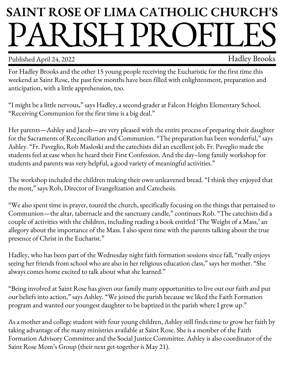## **SAINT ROSE OF LIMA CATHOLIC CHURCH'S** PARISHPROFILES

Published April 24, 2022 Fublished April 24, 2022

For Hadley Brooks and the other 15 young people receiving the Eucharistic for the first time this weekend at Saint Rose, the past few months have been filled with enlightenment, preparation and anticipation, with a little apprehension, too.

"I might be a little nervous," says Hadley, a second-grader at Falcon Heights Elementary School. "Receiving Communion for the first time is a big deal."

Her parents—Ashley and Jacob—are very pleased with the entire process of preparing their daughter for the Sacraments of Reconciliation and Communion. "The preparation has been wonderful," says Ashley. "Fr. Paveglio, Rob Masloski and the catechists did an excellent job. Fr. Paveglio made the students feel at ease when he heard their First Confession. And the day–long family workshop for students and parents was very helpful, a good variety of meaningful activities."

The workshop included the children making their own unleavened bread. "I think they enjoyed that the most," says Rob, Director of Evangelization and Catechesis.

"We also spent time in prayer, toured the church, specifically focusing on the things that pertained to Communion—the altar, tabernacle and the sanctuary candle," continues Rob. "The catechists did a couple of activities with the children, including reading a book entitled 'The Weight of a Mass,' an allegory about the importance of the Mass. I also spent time with the parents talking about the true presence of Christ in the Eucharist."

Hadley, who has been part of the Wednesday night faith formation sessions since fall, "really enjoys seeing her friends from school who are also in her religious education class," says her mother. "She always comes home excited to talk about what she learned."

"Being involved at Saint Rose has given our family many opportunities to live out our faith and put our beliefs into action," says Ashley. "We joined the parish because we liked the Faith Formation program and wanted our youngest daughter to be baptized in the parish where I grew up."

As a mother and college student with four young children, Ashley still finds time to grow her faith by taking advantage of the many ministries available at Saint Rose. She is a member of the Faith Formation Advisory Committee and the Social Justice Committee. Ashley is also coordinator of the Saint Rose Mom's Group (their next get-together is May 21).